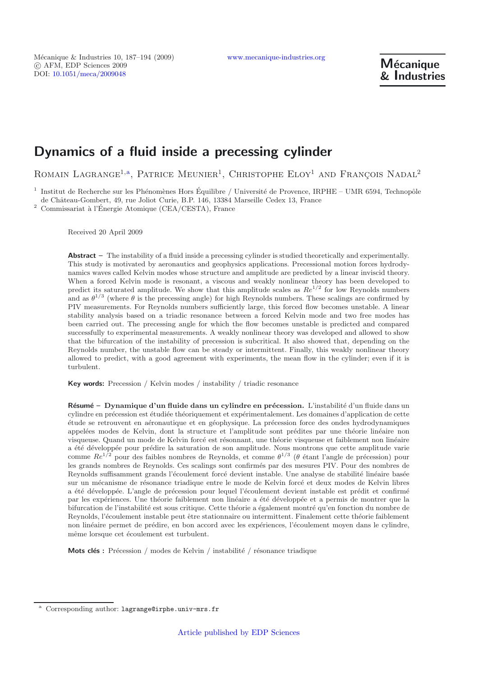Mécanique & Industries 10, 187-194 (2009) [www.mecanique-industries.org](http://www.mecanique-industries.org) -c AFM, EDP Sciences 2009 DOI: [10.1051/meca/2009048](http://dx.doi.org/10.1051/meca/2009048)

# **Dynamics of a fluid inside a precessing cylinder**

ROMAIN LAGRANGE<sup>1,a</sup>, PATRICE MEUNIER<sup>1</sup>, CHRISTOPHE ELOY<sup>1</sup> AND FRANCOIS NADAL<sup>2</sup>

<sup>1</sup> Institut de Recherche sur les Phénomènes Hors Équilibre / Université de Provence, IRPHE – UMR 6594, Technopôle

de Château-Gombert, 49, rue Joliot Curie, B.P. 146, 13384 Marseille Cedex 13, France

 $^{\rm 2}$  Commissariat à l'Énergie Atomique (CEA/CESTA), France

Received 20 April 2009

**Abstract** – The instability of a fluid inside a precessing cylinder is studied theoretically and experimentally. This study is motivated by aeronautics and geophysics applications. Precessional motion forces hydrodynamics waves called Kelvin modes whose structure and amplitude are predicted by a linear inviscid theory. When a forced Kelvin mode is resonant, a viscous and weakly nonlinear theory has been developed to predict its saturated amplitude. We show that this amplitude scales as  $Re^{1/2}$  for low Reynolds numbers and as  $\theta^{1/3}$  (where  $\theta$  is the precessing angle) for high Reynolds numbers. These scalings are confirmed by PIV measurements. For Reynolds numbers sufficiently large, this forced flow becomes unstable. A linear stability analysis based on a triadic resonance between a forced Kelvin mode and two free modes has been carried out. The precessing angle for which the flow becomes unstable is predicted and compared successfully to experimental measurements. A weakly nonlinear theory was developed and allowed to show that the bifurcation of the instability of precession is subcritical. It also showed that, depending on the Reynolds number, the unstable flow can be steady or intermittent. Finally, this weakly nonlinear theory allowed to predict, with a good agreement with experiments, the mean flow in the cylinder; even if it is turbulent.

**Key words:** Precession / Kelvin modes / instability / triadic resonance

**Résumé –** Dynamique d'un fluide dans un cylindre en précession. L'instabilité d'un fluide dans un cylindre en précession est étudiée théoriquement et expérimentalement. Les domaines d'application de cette ´etude se retrouvent en a´eronautique et en g´eophysique. La pr´ecession force des ondes hydrodynamiques appelées modes de Kelvin, dont la structure et l'amplitude sont prédites par une théorie linéaire non visqueuse. Quand un mode de Kelvin forcé est résonnant, une théorie visqueuse et faiblement non linéaire a été développée pour prédire la saturation de son amplitude. Nous montrons que cette amplitude varie comme  $Re^{1/2}$  pour des faibles nombres de Reynolds, et comme  $\theta^{1/3}$  ( $\theta$  étant l'angle de précession) pour les grands nombres de Reynolds. Ces scalings sont confirm´es par des mesures PIV. Pour des nombres de Reynolds suffisamment grands l'écoulement forcé devient instable. Une analyse de stabilité linéaire basée sur un mécanisme de résonance triadique entre le mode de Kelvin forcé et deux modes de Kelvin libres a été développée. L'angle de précession pour lequel l'écoulement devient instable est prédit et confirmé par les expériences. Une théorie faiblement non linéaire a été développée et a permis de montrer que la bifurcation de l'instabilité est sous critique. Cette théorie a également montré qu'en fonction du nombre de Reynolds, l'écoulement instable peut être stationnaire ou intermittent. Finalement cette théorie faiblement non linéaire permet de prédire, en bon accord avec les expériences, l'écoulement moyen dans le cylindre, même lorsque cet écoulement est turbulent.

**Mots clés :** Précession / modes de Kelvin / instabilité / résonance triadique

Corresponding author: lagrange@irphe.univ-mrs.fr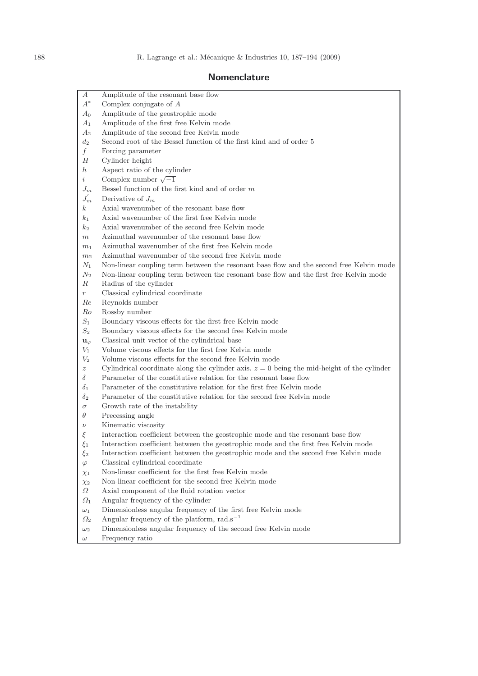# **Nomenclature**

| А                      | Amplitude of the resonant base flow                                                          |
|------------------------|----------------------------------------------------------------------------------------------|
| $A^*$                  | Complex conjugate of $A$                                                                     |
| $A_0$                  | Amplitude of the geostrophic mode                                                            |
| $A_1$                  | Amplitude of the first free Kelvin mode                                                      |
| $A_2$                  | Amplitude of the second free Kelvin mode                                                     |
| $d_2$                  | Second root of the Bessel function of the first kind and of order 5                          |
| $f_{\parallel}$        | Forcing parameter                                                                            |
| H                      | Cylinder height                                                                              |
| $\hbar$                | Aspect ratio of the cylinder                                                                 |
| $\dot{i}$              | Complex number $\sqrt{-1}$                                                                   |
| $J_m$                  | Bessel function of the first kind and of order $m$                                           |
| $J_m$                  | Derivative of $J_m$                                                                          |
| $\boldsymbol{k}$       | Axial wavenumber of the resonant base flow                                                   |
| $k_1$                  | Axial wavenumber of the first free Kelvin mode                                               |
| $k_2$                  | Axial wavenumber of the second free Kelvin mode                                              |
| m                      | Azimuthal wavenumber of the resonant base flow                                               |
| m <sub>1</sub>         | Azimuthal wavenumber of the first free Kelvin mode                                           |
| m <sub>2</sub>         | Azimuthal wavenumber of the second free Kelvin mode                                          |
| $N_1$                  | Non-linear coupling term between the resonant base flow and the second free Kelvin mode      |
| $N_2$                  | Non-linear coupling term between the resonant base flow and the first free Kelvin mode       |
| $\boldsymbol{R}$       | Radius of the cylinder                                                                       |
| $r_{-}$                | Classical cylindrical coordinate                                                             |
| Re                     | Reynolds number                                                                              |
| Ro                     | Rossby number                                                                                |
| $S_1$                  | Boundary viscous effects for the first free Kelvin mode                                      |
| $S_2$                  | Boundary viscous effects for the second free Kelvin mode                                     |
| $\mathbf{u}_{\varphi}$ | Classical unit vector of the cylindrical base                                                |
| $V_1$                  | Volume viscous effects for the first free Kelvin mode                                        |
| $V_2$                  | Volume viscous effects for the second free Kelvin mode                                       |
| $\boldsymbol{z}$       | Cylindrical coordinate along the cylinder axis. $z = 0$ being the mid-height of the cylinder |
| $\delta$               | Parameter of the constitutive relation for the resonant base flow                            |
| $\delta_1$             | Parameter of the constitutive relation for the first free Kelvin mode                        |
| $\delta_2$             | Parameter of the constitutive relation for the second free Kelvin mode                       |
| $\sigma$               | Growth rate of the instability                                                               |
| $\theta$               | Precessing angle                                                                             |
| $\nu$                  | Kinematic viscosity                                                                          |
| ξ                      | Interaction coefficient between the geostrophic mode and the resonant base flow              |
| $\xi_1$                | Interaction coefficient between the geostrophic mode and the first free Kelvin mode          |
| $\xi_2$                | Interaction coefficient between the geostrophic mode and the second free Kelvin mode         |
| $\varphi$              | Classical cylindrical coordinate                                                             |
| $\chi_1$               | Non-linear coefficient for the first free Kelvin mode                                        |
| $\chi_2$               | Non-linear coefficient for the second free Kelvin mode                                       |
| Ω                      | Axial component of the fluid rotation vector                                                 |
| $\Omega_1$             | Angular frequency of the cylinder                                                            |
| $\omega_1$             | Dimensionless angular frequency of the first free Kelvin mode                                |
| $\Omega_2$             | Angular frequency of the platform, rad.s <sup>-1</sup>                                       |
| $\omega_2$             | Dimensionless angular frequency of the second free Kelvin mode                               |
| $\omega$               | Frequency ratio                                                                              |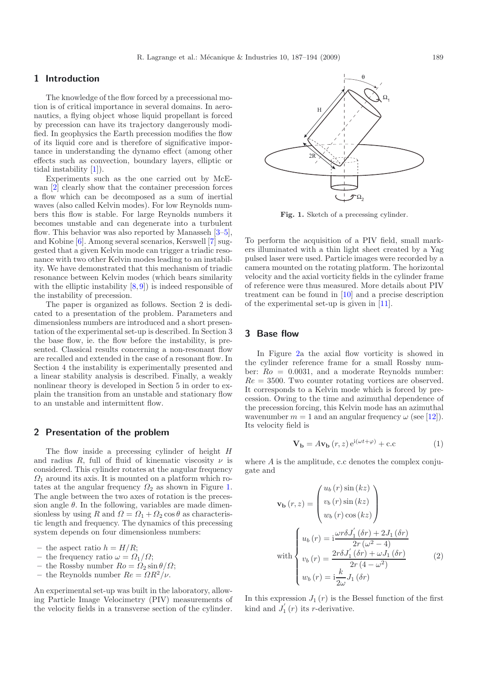## **1 Introduction**

The knowledge of the flow forced by a precessional motion is of critical importance in several domains. In aeronautics, a flying object whose liquid propellant is forced by precession can have its trajectory dangerously modified. In geophysics the Earth precession modifies the flow of its liquid core and is therefore of significative importance in understanding the dynamo effect (among other effects such as convection, boundary layers, elliptic or tidal instability [\[1](#page-7-0)]).

Experiments such as the one carried out by McEwan [\[2\]](#page-7-1) clearly show that the container precession forces a flow which can be decomposed as a sum of inertial waves (also called Kelvin modes). For low Reynolds numbers this flow is stable. For large Reynolds numbers it becomes unstable and can degenerate into a turbulent flow. This behavior was also reported by Manasseh  $[3-5]$  $[3-5]$ , and Kobine [\[6\]](#page-7-4). Among several scenarios, Kerswell [\[7](#page-7-5)] suggested that a given Kelvin mode can trigger a triadic resonance with two other Kelvin modes leading to an instability. We have demonstrated that this mechanism of triadic resonance between Kelvin modes (which bears similarity with the elliptic instability  $[8, 9]$  $[8, 9]$  $[8, 9]$  is indeed responsible of the instability of precession.

The paper is organized as follows. Section 2 is dedicated to a presentation of the problem. Parameters and dimensionless numbers are introduced and a short presentation of the experimental set-up is described. In Section 3 the base flow, ie. the flow before the instability, is presented. Classical results concerning a non-resonant flow are recalled and extended in the case of a resonant flow. In Section 4 the instability is experimentally presented and a linear stability analysis is described. Finally, a weakly nonlinear theory is developed in Section 5 in order to explain the transition from an unstable and stationary flow to an unstable and intermittent flow.

#### **2 Presentation of the problem**

The flow inside a precessing cylinder of height H and radius R, full of fluid of kinematic viscosity  $\nu$  is considered. This cylinder rotates at the angular frequency  $\Omega_1$  around its axis. It is mounted on a platform which rotates at the angular frequency  $\Omega_2$  as shown in Figure [1.](#page-2-0) The angle between the two axes of rotation is the precession angle  $\theta$ . In the following, variables are made dimensionless by using R and  $\Omega = \Omega_1 + \Omega_2 \cos \theta$  as characteristic length and frequency. The dynamics of this precessing system depends on four dimensionless numbers:

- the aspect ratio  $h = H/R$ ;
- the frequency ratio  $\omega = \Omega_1/\Omega$ ;
- the Rossby number  $Ro = \Omega_2 \sin \theta / \Omega;$
- the Reynolds number  $Re = \Omega R^2/\nu$ .

An experimental set-up was built in the laboratory, allowing Particle Image Velocimetry (PIV) measurements of the velocity fields in a transverse section of the cylinder.

<span id="page-2-0"></span>

Fig. 1. Sketch of a precessing cylinder.

To perform the acquisition of a PIV field, small markers illuminated with a thin light sheet created by a Yag pulsed laser were used. Particle images were recorded by a camera mounted on the rotating platform. The horizontal velocity and the axial vorticity fields in the cylinder frame of reference were thus measured. More details about PIV treatment can be found in [\[10\]](#page-7-8) and a precise description of the experimental set-up is given in [\[11](#page-7-9)].

#### **3 Base flow**

In Figure [2a](#page-3-0) the axial flow vorticity is showed in the cylinder reference frame for a small Rossby number:  $Ro = 0.0031$ , and a moderate Reynolds number:  $Re = 3500$ . Two counter rotating vortices are observed. It corresponds to a Kelvin mode which is forced by precession. Owing to the time and azimuthal dependence of the precession forcing, this Kelvin mode has an azimuthal wavenumber  $m = 1$  and an angular frequency  $\omega$  (see [\[12\]](#page-7-10)). Its velocity field is

$$
\mathbf{V_b} = A\mathbf{v_b}\left(r, z\right) e^{i(\omega t + \varphi)} + \text{c.c}
$$
 (1)

where  $A$  is the amplitude, c.c denotes the complex conjugate and

$$
\mathbf{v}_{\mathbf{b}}(r, z) = \begin{pmatrix} u_b(r) \sin (kz) \\ v_b(r) \sin (kz) \\ w_b(r) \cos (kz) \end{pmatrix}
$$
  
with
$$
\begin{cases} u_b(r) = i \frac{\omega r \delta J_1'(\delta r) + 2J_1(\delta r)}{2r(\omega^2 - 4)} \\ v_b(r) = \frac{2r \delta J_1'(\delta r) + \omega J_1(\delta r)}{2r(4 - \omega^2)} \\ w_b(r) = i \frac{k}{2\omega} J_1(\delta r) \end{cases}
$$
(2)

In this expression  $J_1(r)$  is the Bessel function of the first kind and  $J'_1(r)$  its r-derivative.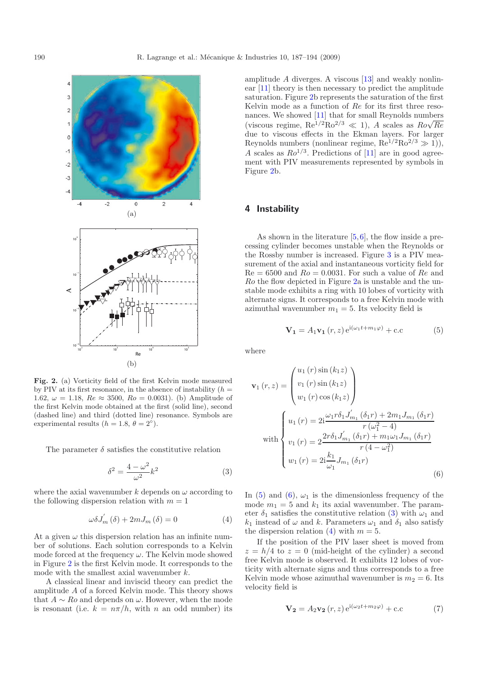

<span id="page-3-0"></span>**Fig. 2.** (a) Vorticity field of the first Kelvin mode measured by PIV at its first resonance, in the absence of instability  $(h =$ 1.62,  $\omega = 1.18$ ,  $Re \approx 3500$ ,  $Ro = 0.0031$ ). (b) Amplitude of the first Kelvin mode obtained at the first (solid line), second (dashed line) and third (dotted line) resonance. Symbols are experimental results ( $h = 1.8$ ,  $\theta = 2^\circ$ ).

The parameter  $\delta$  satisfies the constitutive relation

<span id="page-3-4"></span>
$$
\delta^2 = \frac{4 - \omega^2}{\omega^2} k^2 \tag{3}
$$

where the axial wavenumber k depends on  $\omega$  according to the following dispersion relation with  $m = 1$ 

$$
\omega \delta J_{m}'\left(\delta\right) + 2mJ_{m}\left(\delta\right) = 0\tag{4}
$$

At a given  $\omega$  this dispersion relation has an infinite number of solutions. Each solution corresponds to a Kelvin mode forced at the frequency  $\omega$ . The Kelvin mode showed in Figure [2](#page-3-0) is the first Kelvin mode. It corresponds to the mode with the smallest axial wavenumber  $k$ .

A classical linear and inviscid theory can predict the amplitude A of a forced Kelvin mode. This theory shows that  $A \sim Ro$  and depends on  $\omega$ . However, when the mode is resonant (i.e.  $k = n\pi/h$ , with n an odd number) its

amplitude A diverges. A viscous [\[13\]](#page-7-11) and weakly nonlinear [\[11\]](#page-7-9) theory is then necessary to predict the amplitude saturation. Figure [2b](#page-3-0) represents the saturation of the first Kelvin mode as a function of Re for its first three resonances. We showed [\[11\]](#page-7-9) that for small Reynolds numbers (viscous regime,  $Re^{1/2}Ro^{2/3} \ll 1$ ), A scales as  $Ro\sqrt{Re}$ due to viscous effects in the Ekman layers. For larger Reynolds numbers (nonlinear regime,  $\text{Re}^{1/2}\text{Ro}^{2/3} \gg 1$ )), A scales as  $Ro^{1/3}$ . Predictions of [\[11\]](#page-7-9) are in good agreement with PIV measurements represented by symbols in Figure [2b](#page-3-0).

# <span id="page-3-1"></span>**4 Instability**

As shown in the literature  $[5,6]$  $[5,6]$ , the flow inside a precessing cylinder becomes unstable when the Reynolds or the Rossby number is increased. Figure [3](#page-4-0) is a PIV measurement of the axial and instantaneous vorticity field for  $Re = 6500$  and  $Ro = 0.0031$ . For such a value of Re and Ro the flow depicted in Figure [2a](#page-3-0) is unstable and the unstable mode exhibits a ring with 10 lobes of vorticity with alternate signs. It corresponds to a free Kelvin mode with azimuthal wavenumber  $m_1 = 5$ . Its velocity field is

<span id="page-3-2"></span>
$$
\mathbf{V}_1 = A_1 \mathbf{v}_1 \left( r, z \right) e^{i(\omega_1 t + m_1 \varphi)} + \text{c.c}
$$
 (5)

<span id="page-3-3"></span>where

$$
\mathbf{v}_{1}(r, z) = \begin{pmatrix} u_{1}(r) \sin(k_{1}z) \\ v_{1}(r) \sin(k_{1}z) \\ w_{1}(r) \cos(k_{1}z) \end{pmatrix}
$$
  
\nwith 
$$
\begin{cases} u_{1}(r) = 2i \frac{\omega_{1} r \delta_{1} J'_{m_{1}} (\delta_{1}r) + 2m_{1} J_{m_{1}} (\delta_{1}r)}{r (\omega_{1}^{2} - 4)} \\ v_{1}(r) = 2 \frac{2r \delta_{1} J'_{m_{1}} (\delta_{1}r) + m_{1} \omega_{1} J_{m_{1}} (\delta_{1}r)}{r (4 - \omega_{1}^{2})} \\ w_{1}(r) = 2i \frac{k_{1}}{\omega_{1}} J_{m_{1}} (\delta_{1}r) \end{cases}
$$
(6)

<span id="page-3-5"></span>In [\(5\)](#page-3-1) and [\(6\)](#page-3-2),  $\omega_1$  is the dimensionless frequency of the mode  $m_1 = 5$  and  $k_1$  its axial wavenumber. The parameter  $\delta_1$  satisfies the constitutive relation [\(3\)](#page-3-3) with  $\omega_1$  and  $k_1$  instead of  $\omega$  and k. Parameters  $\omega_1$  and  $\delta_1$  also satisfy the dispersion relation [\(4\)](#page-3-4) with  $m = 5$ .

If the position of the PIV laser sheet is moved from  $z = h/4$  to  $z = 0$  (mid-height of the cylinder) a second free Kelvin mode is observed. It exhibits 12 lobes of vorticity with alternate signs and thus corresponds to a free Kelvin mode whose azimuthal wavenumber is  $m_2 = 6$ . Its velocity field is

$$
\mathbf{V_2} = A_2 \mathbf{v_2} (r, z) e^{i(\omega_2 t + m_2 \varphi)} + \text{c.c}
$$
 (7)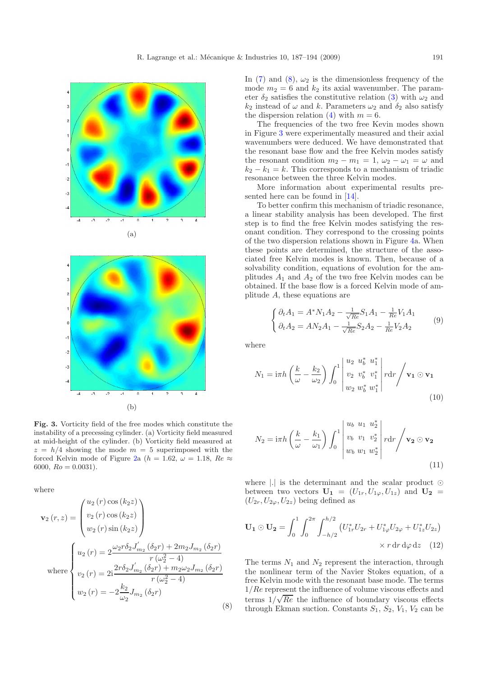

<span id="page-4-0"></span>**Fig. 3.** Vorticity field of the free modes which constitute the instability of a precessing cylinder. (a) Vorticity field measured at mid-height of the cylinder. (b) Vorticity field measured at  $z = h/4$  showing the mode  $m = 5$  superimposed with the forced Kelvin mode of Figure [2a](#page-3-0) ( $h = 1.62$ ,  $\omega = 1.18$ ,  $Re \approx$ 6000,  $Ro = 0.0031$ ).

where

$$
\mathbf{v}_{2}(r, z) = \begin{pmatrix} u_{2}(r) \cos(k_{2}z) \\ v_{2}(r) \cos(k_{2}z) \\ w_{2}(r) \sin(k_{2}z) \end{pmatrix}
$$
  
where 
$$
\begin{cases} u_{2}(r) = 2 \frac{\omega_{2} r \delta_{2} J'_{m_{2}} (\delta_{2}r) + 2m_{2} J_{m_{2}} (\delta_{2}r)}{r (\omega_{2}^{2} - 4)} \\ v_{2}(r) = 2i \frac{2r \delta_{2} J'_{m_{2}} (\delta_{2}r) + m_{2} \omega_{2} J_{m_{2}} (\delta_{2}r)}{r (\omega_{2}^{2} - 4)} \\ w_{2}(r) = -2 \frac{k_{2}}{\omega_{2}} J_{m_{2}} (\delta_{2}r) \end{cases}
$$
(8)

In [\(7\)](#page-3-5) and [\(8\)](#page-4-1),  $\omega_2$  is the dimensionless frequency of the mode  $m_2 = 6$  and  $k_2$  its axial wavenumber. The parameter  $\delta_2$  satisfies the constitutive relation [\(3\)](#page-3-3) with  $\omega_2$  and  $k_2$  instead of  $\omega$  and  $k$ . Parameters  $\omega_2$  and  $\delta_2$  also satisfy the dispersion relation [\(4\)](#page-3-4) with  $m = 6$ .

The frequencies of the two free Kevin modes shown in Figure [3](#page-4-0) were experimentally measured and their axial wavenumbers were deduced. We have demonstrated that the resonant base flow and the free Kelvin modes satisfy the resonant condition  $m_2 - m_1 = 1$ ,  $\omega_2 - \omega_1 = \omega$  and  $k_2 - k_1 = k$ . This corresponds to a mechanism of triadic resonance between the three Kelvin modes.

More information about experimental results presented here can be found in [\[14\]](#page-7-12).

To better confirm this mechanism of triadic resonance, a linear stability analysis has been developed. The first step is to find the free Kelvin modes satisfying the resonant condition. They correspond to the crossing points of the two dispersion relations shown in Figure [4a](#page-5-0). When these points are determined, the structure of the associated free Kelvin modes is known. Then, because of a solvability condition, equations of evolution for the amplitudes  $A_1$  and  $A_2$  of the two free Kelvin modes can be obtained. If the base flow is a forced Kelvin mode of amplitude  $A$ , these equations are

<span id="page-4-3"></span><span id="page-4-2"></span>
$$
\begin{cases} \partial_t A_1 = A^* N_1 A_2 - \frac{1}{\sqrt{Re}} S_1 A_1 - \frac{1}{Re} V_1 A_1 \\ \partial_t A_2 = A N_2 A_1 - \frac{1}{\sqrt{Re}} S_2 A_2 - \frac{1}{Re} V_2 A_2 \end{cases} \tag{9}
$$

where

$$
N_1 = \mathrm{i}\pi h \left(\frac{k}{\omega} - \frac{k_2}{\omega_2}\right) \int_0^1 \begin{vmatrix} u_2 & u_b^* & u_1^* \\ v_2 & v_b^* & v_1^* \\ w_2 & w_b^* & w_1^* \end{vmatrix} r \mathrm{d}r \Bigg/ \mathbf{v_1} \odot \mathbf{v_1}
$$
\n(10)

$$
N_2 = \mathrm{i}\pi h \left(\frac{k}{\omega} - \frac{k_1}{\omega_1}\right) \int_0^1 \begin{vmatrix} u_b & u_1 & u_2^* \\ v_b & v_1 & v_2^* \\ w_b & w_1 & w_2^* \end{vmatrix} r \mathrm{d}r / \mathbf{v_2} \odot \mathbf{v_2}
$$
\n(11)

<span id="page-4-1"></span>where  $|.|$  is the determinant and the scalar product  $\odot$ between two vectors  $U_1 = (U_{1r}, U_{1\varphi}, U_{1z})$  and  $U_2$  $(U_{2r}, U_{2\varphi}, U_{2z})$  being defined as

$$
\mathbf{U_1} \odot \mathbf{U_2} = \int_0^1 \int_0^{2\pi} \int_{-h/2}^{h/2} \left( U_{1r}^* U_{2r} + U_{1\varphi}^* U_{2\varphi} + U_{1z}^* U_{2z} \right) \times r \, dr \, d\varphi \, dz \quad (12)
$$

The terms  $N_1$  and  $N_2$  represent the interaction, through the nonlinear term of the Navier Stokes equation, of a free Kelvin mode with the resonant base mode. The terms 1/Re represent the influence of volume viscous effects and terms  $1/\sqrt{Re}$  the influence of boundary viscous effects through Ekman suction. Constants  $S_1$ ,  $S_2$ ,  $V_1$ ,  $V_2$  can be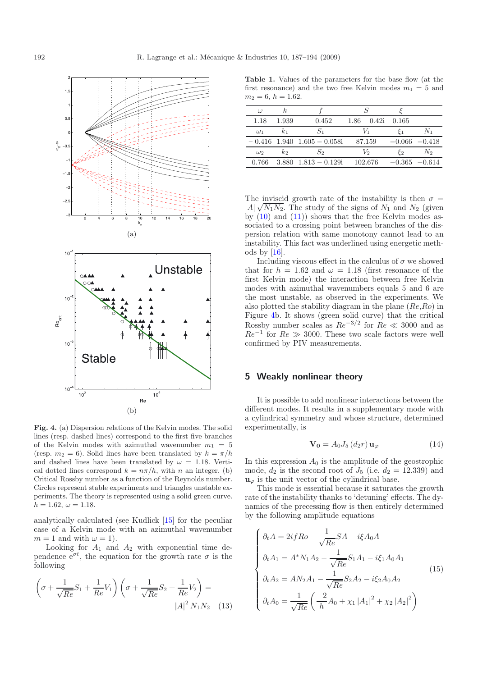

<span id="page-5-0"></span>**Fig. 4.** (a) Dispersion relations of the Kelvin modes. The solid lines (resp. dashed lines) correspond to the first five branches of the Kelvin modes with azimuthal wavenumber  $m_1 = 5$ (resp.  $m_2 = 6$ ). Solid lines have been translated by  $k = \pi/h$ and dashed lines have been translated by  $\omega = 1.18$ . Vertical dotted lines correspond  $k = n\pi/h$ , with n an integer. (b) Critical Rossby number as a function of the Reynolds number. Circles represent stable experiments and triangles unstable experiments. The theory is represented using a solid green curve.  $h = 1.62, \omega = 1.18.$ 

analytically calculated (see Kudlick [\[15\]](#page-7-13) for the peculiar case of a Kelvin mode with an azimuthal wavenumber  $m = 1$  and with  $\omega = 1$ ).

Looking for  $A_1$  and  $A_2$  with exponential time dependence  $e^{\sigma t}$ , the equation for the growth rate  $\sigma$  is the following

$$
\left(\sigma + \frac{1}{\sqrt{Re}}S_1 + \frac{1}{Re}V_1\right)\left(\sigma + \frac{1}{\sqrt{Re}}S_2 + \frac{1}{Re}V_2\right) = |A|^2 N_1 N_2 \quad (13)
$$

<span id="page-5-2"></span>Table 1. Values of the parameters for the base flow (at the first resonance) and the two free Kelvin modes  $m_1 = 5$  and  $m_2 = 6, h = 1.62.$ 

| $\omega$   | k     |                                 |                |       |                  |
|------------|-------|---------------------------------|----------------|-------|------------------|
| 1.18       | 1.939 | $-0.452$                        | $1.86 - 0.42i$ | 0.165 |                  |
| $\omega_1$ | $k_1$ |                                 |                |       | $N_1$            |
|            |       | $-0.416$ 1.940 $1.605 - 0.058i$ | 87.159         |       | $-0.066 - 0.418$ |
| $\omega_2$ | $k_2$ |                                 | V,             | Eo    | N2               |
| 0.766      |       | $3.880$ $1.813 - 0.129i$        | 102.676        |       | $-0.365 -0.614$  |

The inviscid growth rate of the instability is then  $\sigma =$  $|A| \sqrt{N_1 N_2}$ . The study of the signs of  $N_1$  and  $N_2$  (given by  $(10)$  and  $(11)$ ) shows that the free Kelvin modes associated to a crossing point between branches of the dispersion relation with same monotony cannot lead to an instability. This fact was underlined using energetic methods by [\[16\]](#page-7-14).

Including viscous effect in the calculus of  $\sigma$  we showed that for  $h = 1.62$  and  $\omega = 1.18$  (first resonance of the first Kelvin mode) the interaction between free Kelvin modes with azimuthal wavenumbers equals 5 and 6 are the most unstable, as observed in the experiments. We also plotted the stability diagram in the plane  $(Re, Ro)$  in Figure [4b](#page-5-0). It shows (green solid curve) that the critical Rossby number scales as  $Re^{-3/2}$  for  $Re \ll 3000$  and as  $Re^{-1}$  for  $Re \gg 3000$ . These two scale factors were well confirmed by PIV measurements.

#### **5 Weakly nonlinear theory**

It is possible to add nonlinear interactions between the different modes. It results in a supplementary mode with a cylindrical symmetry and whose structure, determined experimentally, is

<span id="page-5-1"></span>
$$
\mathbf{V_0} = A_0 J_5 \left( d_2 r \right) \mathbf{u}_{\varphi} \tag{14}
$$

In this expression  $A_0$  is the amplitude of the geostrophic mode,  $d_2$  is the second root of  $J_5$  (i.e.  $d_2 = 12.339$ ) and  $\mathbf{u}_{\varphi}$  is the unit vector of the cylindrical base.

This mode is essential because it saturates the growth rate of the instability thanks to 'detuning' effects. The dynamics of the precessing flow is then entirely determined by the following amplitude equations

$$
\begin{cases}\n\partial_t A = 2ifRo - \frac{1}{\sqrt{Re}} SA - i\xi A_0 A \\
\partial_t A_1 = A^* N_1 A_2 - \frac{1}{\sqrt{Re}} S_1 A_1 - i\xi_1 A_0 A_1 \\
\partial_t A_2 = A N_2 A_1 - \frac{1}{\sqrt{Re}} S_2 A_2 - i\xi_2 A_0 A_2 \\
\partial_t A_0 = \frac{1}{\sqrt{Re}} \left(\frac{-2}{h} A_0 + \chi_1 |A_1|^2 + \chi_2 |A_2|^2\right)\n\end{cases}
$$
\n(15)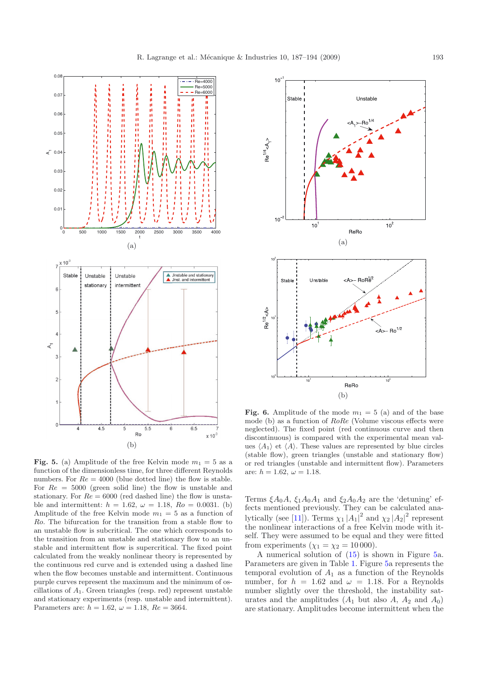

<span id="page-6-0"></span>**Fig. 5.** (a) Amplitude of the free Kelvin mode  $m_1 = 5$  as a function of the dimensionless time, for three different Reynolds numbers. For  $Re = 4000$  (blue dotted line) the flow is stable. For  $Re = 5000$  (green solid line) the flow is unstable and stationary. For  $Re = 6000$  (red dashed line) the flow is unstable and intermittent:  $h = 1.62$ ,  $\omega = 1.18$ ,  $Ro = 0.0031$ . (b) Amplitude of the free Kelvin mode  $m_1 = 5$  as a function of Ro. The bifurcation for the transition from a stable flow to an unstable flow is subcritical. The one which corresponds to the transition from an unstable and stationary flow to an unstable and intermittent flow is supercritical. The fixed point calculated from the weakly nonlinear theory is represented by the continuous red curve and is extended using a dashed line when the flow becomes unstable and intermittent. Continuous purple curves represent the maximum and the minimum of oscillations of  $A_1$ . Green triangles (resp. red) represent unstable and stationary experiments (resp. unstable and intermittent). Parameters are:  $h = 1.62$ ,  $\omega = 1.18$ ,  $Re = 3664$ .



<span id="page-6-1"></span>**Fig. 6.** Amplitude of the mode  $m_1 = 5$  (a) and of the base mode (b) as a function of RoRe (Volume viscous effects were neglected). The fixed point (red continuous curve and then discontinuous) is compared with the experimental mean values  $\langle A_1 \rangle$  et  $\langle A \rangle$ . These values are represented by blue circles (stable flow), green triangles (unstable and stationary flow) or red triangles (unstable and intermittent flow). Parameters are:  $h = 1.62, \omega = 1.18.$ 

Terms  $\xi A_0 A$ ,  $\xi_1 A_0 A_1$  and  $\xi_2 A_0 A_2$  are the 'detuning' effects mentioned previously. They can be calculated ana-lytically (see [\[11\]](#page-7-9)). Terms  $\chi_1 |A_1|^2$  and  $\chi_2 |A_2|^2$  represent the nonlinear interactions of a free Kelvin mode with itself. They were assumed to be equal and they were fitted from experiments  $(\chi_1 = \chi_2 = 10000)$ .

A numerical solution of  $(15)$  is shown in Figure [5a](#page-6-0). Parameters are given in Table [1.](#page-5-2) Figure [5a](#page-6-0) represents the temporal evolution of  $A_1$  as a function of the Reynolds number, for  $h = 1.62$  and  $\omega = 1.18$ . For a Reynolds number slightly over the threshold, the instability saturates and the amplitudes  $(A_1$  but also  $A_1$ ,  $A_2$  and  $A_0$ ) are stationary. Amplitudes become intermittent when the